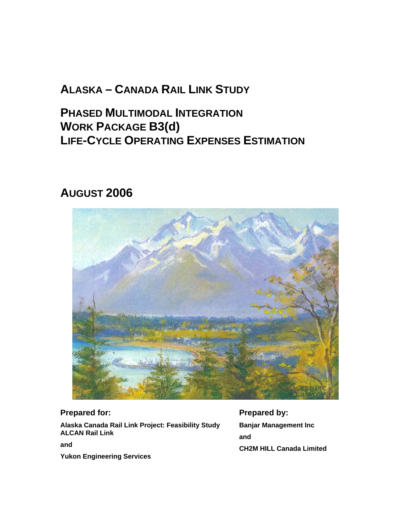# **ALASKA – CANADA RAIL LINK STUDY**

**PHASED MULTIMODAL INTEGRATION WORK PACKAGE B3(d) LIFE-CYCLE OPERATING EXPENSES ESTIMATION**

# **AUGUST 2006**



# **Prepared for:**

**Alaska Canada Rail Link Project: Feasibility Study ALCAN Rail Link** 

**and** 

**Yukon Engineering Services**

**Prepared by: Banjar Management Inc and CH2M HILL Canada Limited**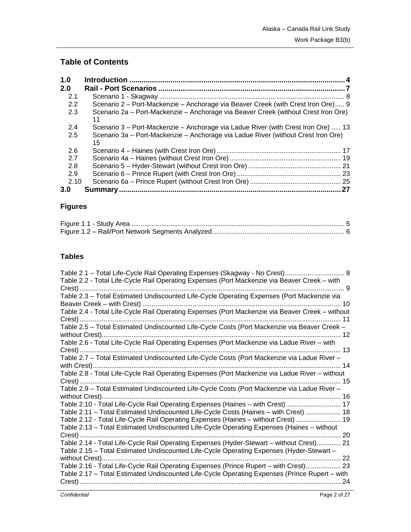# **Table of Contents**

| 1.0  |                                                                                          |    |
|------|------------------------------------------------------------------------------------------|----|
| 2.0  |                                                                                          |    |
| 2.1  |                                                                                          |    |
| 2.2  | Scenario 2 – Port-Mackenzie – Anchorage via Beaver Creek (with Crest Iron Ore) 9         |    |
| 2.3  | Scenario 2a - Port-Mackenzie - Anchorage via Beaver Creek (without Crest Iron Ore)<br>11 |    |
| 2.4  | Scenario 3 – Port-Mackenzie – Anchorage via Ladue River (with Crest Iron Ore)  13        |    |
| 2.5  | Scenario 3a – Port-Mackenzie – Anchorage via Ladue River (without Crest Iron Ore)<br>15  |    |
| 2.6  |                                                                                          |    |
| 2.7  |                                                                                          |    |
| 2.8  |                                                                                          |    |
| 2.9  |                                                                                          |    |
| 2.10 |                                                                                          |    |
| 3.0  |                                                                                          | 27 |

# **Figures**

# **Tables**

| Table 2.1 - Total Life-Cycle Rail Operating Expenses (Skagway - No Crest)  8                                                                                            |
|-------------------------------------------------------------------------------------------------------------------------------------------------------------------------|
| Table 2.2 - Total Life-Cycle Rail Operating Expenses (Port Mackenzie via Beaver Creek - with                                                                            |
| Table 2.3 - Total Estimated Undiscounted Life-Cycle Operating Expenses (Port Mackenzie via                                                                              |
| 10                                                                                                                                                                      |
| Table 2.4 - Total Life-Cycle Rail Operating Expenses (Port Mackenzie via Beaver Creek - without                                                                         |
|                                                                                                                                                                         |
|                                                                                                                                                                         |
| Table 2.6 - Total Life-Cycle Rail Operating Expenses (Port Mackenzie via Ladue River - with                                                                             |
|                                                                                                                                                                         |
| Table 2.7 - Total Estimated Undiscounted Life-Cycle Costs (Port Mackenzie via Ladue River -                                                                             |
|                                                                                                                                                                         |
|                                                                                                                                                                         |
| Table 2.9 - Total Estimated Undiscounted Life-Cycle Costs (Port Mackenzie via Ladue River -                                                                             |
|                                                                                                                                                                         |
| Table 2.10 - Total Life-Cycle Rail Operating Expenses (Haines - with Crest)  17<br>Table 2.11 - Total Estimated Undiscounted Life-Cycle Costs (Haines - with Crest)  18 |
| Table 2.12 - Total Life-Cycle Rail Operating Expenses (Haines - without Crest)  19                                                                                      |
| Table 2.13 - Total Estimated Undiscounted Life-Cycle Operating Expenses (Haines - without                                                                               |
|                                                                                                                                                                         |
| Table 2.14 - Total Life-Cycle Rail Operating Expenses (Hyder-Stewart - without Crest) 21                                                                                |
| Table 2.15 - Total Estimated Undiscounted Life-Cycle Operating Expenses (Hyder-Stewart -                                                                                |
| Table 2.16 - Total Life-Cycle Rail Operating Expenses (Prince Rupert - with Crest) 23                                                                                   |
| Table 2.17 - Total Estimated Undiscounted Life-Cycle Operating Expenses (Prince Rupert - with                                                                           |
|                                                                                                                                                                         |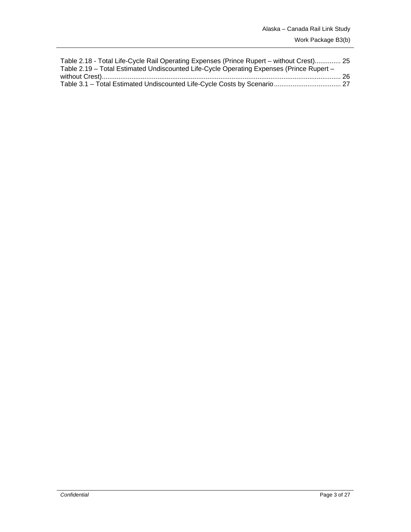| Table 2.18 - Total Life-Cycle Rail Operating Expenses (Prince Rupert – without Crest) 25 |  |
|------------------------------------------------------------------------------------------|--|
| Table 2.19 - Total Estimated Undiscounted Life-Cycle Operating Expenses (Prince Rupert - |  |
|                                                                                          |  |
|                                                                                          |  |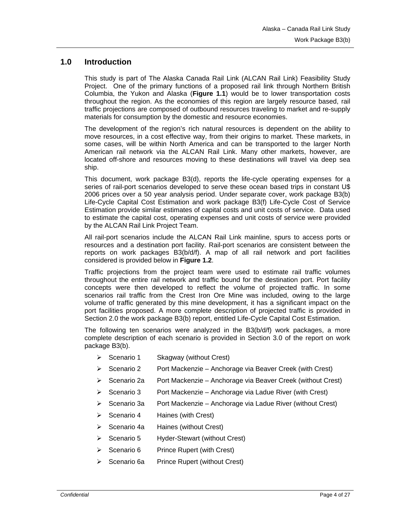#### **1.0 Introduction**

This study is part of The Alaska Canada Rail Link (ALCAN Rail Link) Feasibility Study Project. One of the primary functions of a proposed rail link through Northern British Columbia, the Yukon and Alaska (**Figure 1.1**) would be to lower transportation costs throughout the region. As the economies of this region are largely resource based, rail traffic projections are composed of outbound resources traveling to market and re-supply materials for consumption by the domestic and resource economies.

The development of the region's rich natural resources is dependent on the ability to move resources, in a cost effective way, from their origins to market. These markets, in some cases, will be within North America and can be transported to the larger North American rail network via the ALCAN Rail Link. Many other markets, however, are located off-shore and resources moving to these destinations will travel via deep sea ship.

This document, work package B3(d), reports the life-cycle operating expenses for a series of rail-port scenarios developed to serve these ocean based trips in constant U\$ 2006 prices over a 50 year analysis period. Under separate cover, work package B3(b) Life-Cycle Capital Cost Estimation and work package B3(f) Life-Cycle Cost of Service Estimation provide similar estimates of capital costs and unit costs of service. Data used to estimate the capital cost, operating expenses and unit costs of service were provided by the ALCAN Rail Link Project Team.

All rail-port scenarios include the ALCAN Rail Link mainline, spurs to access ports or resources and a destination port facility. Rail-port scenarios are consistent between the reports on work packages B3(b/d/f). A map of all rail network and port facilities considered is provided below in **Figure 1.2**.

Traffic projections from the project team were used to estimate rail traffic volumes throughout the entire rail network and traffic bound for the destination port. Port facility concepts were then developed to reflect the volume of projected traffic. In some scenarios rail traffic from the Crest Iron Ore Mine was included, owing to the large volume of traffic generated by this mine development, it has a significant impact on the port facilities proposed. A more complete description of projected traffic is provided in Section 2.0 the work package B3(b) report, entitled Life-Cycle Capital Cost Estimation.

The following ten scenarios were analyzed in the B3(b/d/f) work packages, a more complete description of each scenario is provided in Section 3.0 of the report on work package B3(b).

- ¾ Scenario 1 Skagway (without Crest)
- $\triangleright$  Scenario 2 Port Mackenzie Anchorage via Beaver Creek (with Crest)
- ¾ Scenario 2a Port Mackenzie Anchorage via Beaver Creek (without Crest)
- $\triangleright$  Scenario 3 Port Mackenzie Anchorage via Ladue River (with Crest)
- $\triangleright$  Scenario 3a Port Mackenzie Anchorage via Ladue River (without Crest)
- $\triangleright$  Scenario 4 Haines (with Crest)
- ¾ Scenario 4a Haines (without Crest)
- $\triangleright$  Scenario 5 Hyder-Stewart (without Crest)
- ¾ Scenario 6 Prince Rupert (with Crest)
- Scenario 6a Prince Rupert (without Crest)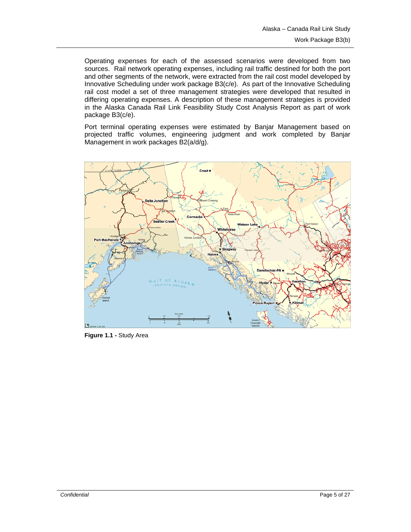Operating expenses for each of the assessed scenarios were developed from two sources. Rail network operating expenses, including rail traffic destined for both the port and other segments of the network, were extracted from the rail cost model developed by Innovative Scheduling under work package B3(c/e). As part of the Innovative Scheduling rail cost model a set of three management strategies were developed that resulted in differing operating expenses. A description of these management strategies is provided in the Alaska Canada Rail Link Feasibility Study Cost Analysis Report as part of work package B3(c/e).

Port terminal operating expenses were estimated by Banjar Management based on projected traffic volumes, engineering judgment and work completed by Banjar Management in work packages B2(a/d/g).



**Figure 1.1 -** Study Area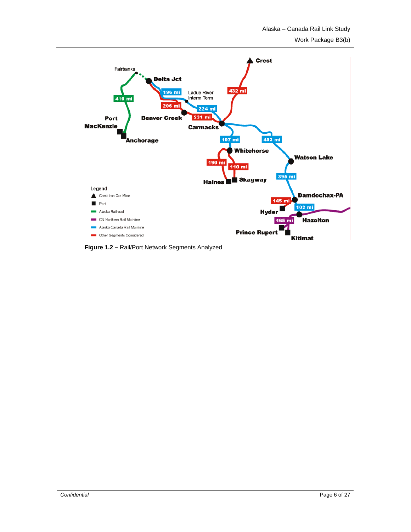

**Figure 1.2 –** Rail/Port Network Segments Analyzed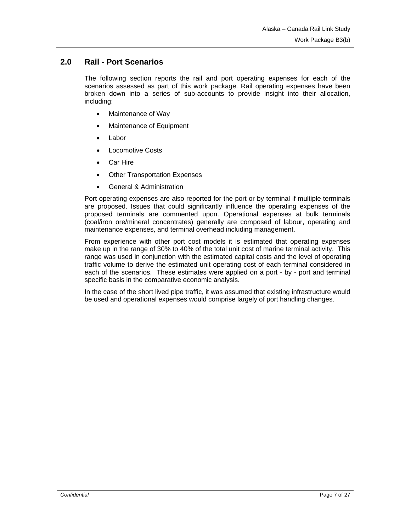# **2.0 Rail - Port Scenarios**

The following section reports the rail and port operating expenses for each of the scenarios assessed as part of this work package. Rail operating expenses have been broken down into a series of sub-accounts to provide insight into their allocation, including:

- Maintenance of Way
- Maintenance of Equipment
- **Labor**
- **Locomotive Costs**
- Car Hire
- **Other Transportation Expenses**
- General & Administration

Port operating expenses are also reported for the port or by terminal if multiple terminals are proposed. Issues that could significantly influence the operating expenses of the proposed terminals are commented upon. Operational expenses at bulk terminals (coal/iron ore/mineral concentrates) generally are composed of labour, operating and maintenance expenses, and terminal overhead including management.

From experience with other port cost models it is estimated that operating expenses make up in the range of 30% to 40% of the total unit cost of marine terminal activity. This range was used in conjunction with the estimated capital costs and the level of operating traffic volume to derive the estimated unit operating cost of each terminal considered in each of the scenarios. These estimates were applied on a port - by - port and terminal specific basis in the comparative economic analysis.

In the case of the short lived pipe traffic, it was assumed that existing infrastructure would be used and operational expenses would comprise largely of port handling changes.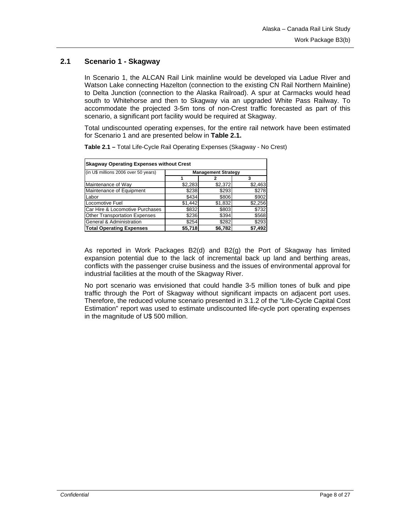## **2.1 Scenario 1 - Skagway**

In Scenario 1, the ALCAN Rail Link mainline would be developed via Ladue River and Watson Lake connecting Hazelton (connection to the existing CN Rail Northern Mainline) to Delta Junction (connection to the Alaska Railroad). A spur at Carmacks would head south to Whitehorse and then to Skagway via an upgraded White Pass Railway. To accommodate the projected 3-5m tons of non-Crest traffic forecasted as part of this scenario, a significant port facility would be required at Skagway.

Total undiscounted operating expenses, for the entire rail network have been estimated for Scenario 1 and are presented below in **Table 2.1.** 

| <b>Skagway Operating Expenses without Crest</b>                  |                            |         |         |  |  |
|------------------------------------------------------------------|----------------------------|---------|---------|--|--|
| (in U\$ millions 2006 over 50 years)                             | <b>Management Strategy</b> |         |         |  |  |
|                                                                  |                            |         | 3       |  |  |
| Maintenance of Way                                               | \$2,283                    | \$2,372 | \$2,463 |  |  |
| Maintenance of Equipment                                         | \$238                      | \$293   | \$278   |  |  |
| Labor                                                            | \$434                      | \$806   | \$902   |  |  |
| Locomotive Fuel                                                  | \$1,442                    | \$1,832 | \$2,256 |  |  |
| Car Hire & Locomotive Purchases                                  | \$832                      | \$803   | \$732   |  |  |
| <b>Other Transportation Expenses</b>                             | \$236                      | \$394   | \$568   |  |  |
| General & Administration                                         | \$254                      | \$282   | \$293   |  |  |
| <b>Total Operating Expenses</b><br>\$7,492<br>\$5,718<br>\$6,782 |                            |         |         |  |  |

**Table 2.1 –** Total Life-Cycle Rail Operating Expenses (Skagway - No Crest)

As reported in Work Packages B2(d) and B2(g) the Port of Skagway has limited expansion potential due to the lack of incremental back up land and berthing areas, conflicts with the passenger cruise business and the issues of environmental approval for industrial facilities at the mouth of the Skagway River.

No port scenario was envisioned that could handle 3-5 million tones of bulk and pipe traffic through the Port of Skagway without significant impacts on adjacent port uses. Therefore, the reduced volume scenario presented in 3.1.2 of the "Life-Cycle Capital Cost Estimation" report was used to estimate undiscounted life-cycle port operating expenses in the magnitude of U\$ 500 million.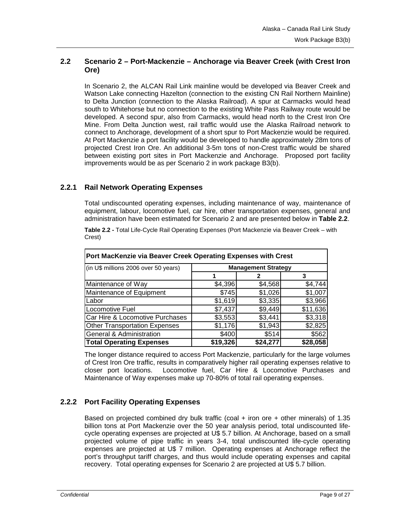## **2.2 Scenario 2 – Port-Mackenzie – Anchorage via Beaver Creek (with Crest Iron Ore)**

In Scenario 2, the ALCAN Rail Link mainline would be developed via Beaver Creek and Watson Lake connecting Hazelton (connection to the existing CN Rail Northern Mainline) to Delta Junction (connection to the Alaska Railroad). A spur at Carmacks would head south to Whitehorse but no connection to the existing White Pass Railway route would be developed. A second spur, also from Carmacks, would head north to the Crest Iron Ore Mine. From Delta Junction west, rail traffic would use the Alaska Railroad network to connect to Anchorage, development of a short spur to Port Mackenzie would be required. At Port Mackenzie a port facility would be developed to handle approximately 28m tons of projected Crest Iron Ore. An additional 3-5m tons of non-Crest traffic would be shared between existing port sites in Port Mackenzie and Anchorage. Proposed port facility improvements would be as per Scenario 2 in work package B3(b).

## **2.2.1 Rail Network Operating Expenses**

Total undiscounted operating expenses, including maintenance of way, maintenance of equipment, labour, locomotive fuel, car hire, other transportation expenses, general and administration have been estimated for Scenario 2 and are presented below in **Table 2.2**.

| Table 2.2 - Total Life-Cycle Rail Operating Expenses (Port Mackenzie via Beaver Creek - with |  |
|----------------------------------------------------------------------------------------------|--|
| Crest)                                                                                       |  |

| Port MacKenzie via Beaver Creek Operating Expenses with Crest       |                            |         |          |  |  |
|---------------------------------------------------------------------|----------------------------|---------|----------|--|--|
| (in U\$ millions 2006 over 50 years)                                | <b>Management Strategy</b> |         |          |  |  |
|                                                                     |                            | 2       | 3        |  |  |
| Maintenance of Way                                                  | \$4,396                    | \$4,568 | \$4,744  |  |  |
| Maintenance of Equipment                                            | \$745                      | \$1,026 | \$1,007  |  |  |
| Labor                                                               | \$1,619                    | \$3,335 | \$3,966  |  |  |
| Locomotive Fuel                                                     | \$7,437                    | \$9,449 | \$11,636 |  |  |
| Car Hire & Locomotive Purchases                                     | \$3,553                    | \$3,441 | \$3,318  |  |  |
| Other Transportation Expenses                                       | \$1,176                    | \$1,943 | \$2,825  |  |  |
| General & Administration                                            | \$400                      | \$514   | \$562    |  |  |
| \$24,277<br>\$28,058<br><b>Total Operating Expenses</b><br>\$19,326 |                            |         |          |  |  |

The longer distance required to access Port Mackenzie, particularly for the large volumes of Crest Iron Ore traffic, results in comparatively higher rail operating expenses relative to closer port locations. Locomotive fuel, Car Hire & Locomotive Purchases and Maintenance of Way expenses make up 70-80% of total rail operating expenses.

## **2.2.2 Port Facility Operating Expenses**

Based on projected combined dry bulk traffic (coal  $+$  iron ore  $+$  other minerals) of 1.35 billion tons at Port Mackenzie over the 50 year analysis period, total undiscounted lifecycle operating expenses are projected at U\$ 5.7 billion. At Anchorage, based on a small projected volume of pipe traffic in years 3-4, total undiscounted life-cycle operating expenses are projected at U\$ 7 million. Operating expenses at Anchorage reflect the port's throughput tariff charges, and thus would include operating expenses and capital recovery. Total operating expenses for Scenario 2 are projected at U\$ 5.7 billion.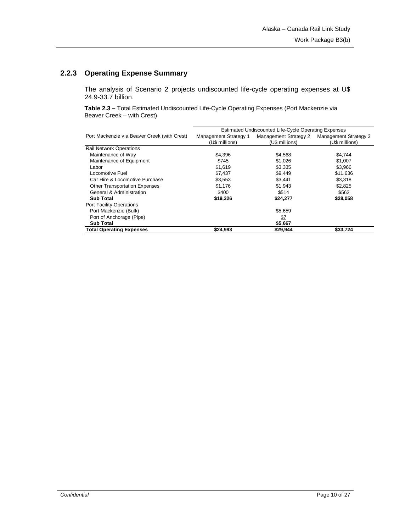# **2.2.3 Operating Expense Summary**

The analysis of Scenario 2 projects undiscounted life-cycle operating expenses at U\$ 24.9-33.7 billion.

**Table 2.3 –** Total Estimated Undiscounted Life-Cycle Operating Expenses (Port Mackenzie via Beaver Creek – with Crest)

|                                              | Estimated Undiscounted Life-Cycle Operating Expenses |                       |                              |  |
|----------------------------------------------|------------------------------------------------------|-----------------------|------------------------------|--|
| Port Mackenzie via Beaver Creek (with Crest) | <b>Management Strategy 1</b>                         | Management Strategy 2 | <b>Management Strategy 3</b> |  |
|                                              | (U\$ millions)                                       | (U\$ millions)        | (U\$ millions)               |  |
| <b>Rail Network Operations</b>               |                                                      |                       |                              |  |
| Maintenance of Way                           | \$4,396                                              | \$4,568               | \$4.744                      |  |
| Maintenance of Equipment                     | \$745                                                | \$1.026               | \$1,007                      |  |
| Labor                                        | \$1,619                                              | \$3,335               | \$3,966                      |  |
| Locomotive Fuel                              | \$7,437                                              | \$9,449               | \$11,636                     |  |
| Car Hire & Locomotive Purchase               | \$3,553                                              | \$3,441               | \$3,318                      |  |
| <b>Other Transportation Expenses</b>         | \$1,176                                              | \$1,943               | \$2,825                      |  |
| General & Administration                     | \$400                                                | \$514                 | \$562                        |  |
| <b>Sub Total</b>                             | \$19,326                                             | \$24,277              | \$28,058                     |  |
| <b>Port Facility Operations</b>              |                                                      |                       |                              |  |
| Port Mackenzie (Bulk)                        |                                                      | \$5,659               |                              |  |
| Port of Anchorage (Pipe)                     |                                                      | \$7                   |                              |  |
| <b>Sub Total</b>                             |                                                      | \$5,667               |                              |  |
| <b>Total Operating Expenses</b>              | \$24,993                                             | \$29,944              | \$33,724                     |  |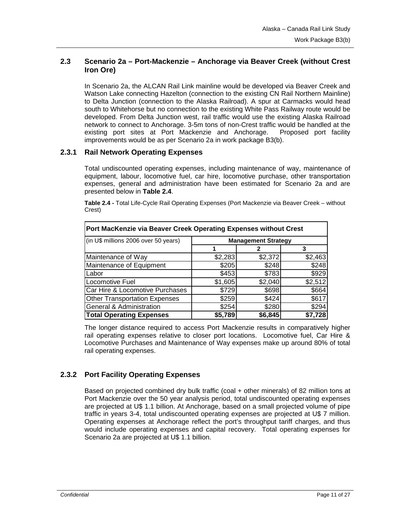## **2.3 Scenario 2a – Port-Mackenzie – Anchorage via Beaver Creek (without Crest Iron Ore)**

In Scenario 2a, the ALCAN Rail Link mainline would be developed via Beaver Creek and Watson Lake connecting Hazelton (connection to the existing CN Rail Northern Mainline) to Delta Junction (connection to the Alaska Railroad). A spur at Carmacks would head south to Whitehorse but no connection to the existing White Pass Railway route would be developed. From Delta Junction west, rail traffic would use the existing Alaska Railroad network to connect to Anchorage. 3-5m tons of non-Crest traffic would be handled at the existing port sites at Port Mackenzie and Anchorage. Proposed port facility improvements would be as per Scenario 2a in work package B3(b).

#### **2.3.1 Rail Network Operating Expenses**

Total undiscounted operating expenses, including maintenance of way, maintenance of equipment, labour, locomotive fuel, car hire, locomotive purchase, other transportation expenses, general and administration have been estimated for Scenario 2a and are presented below in **Table 2.4**.

**Table 2.4 -** Total Life-Cycle Rail Operating Expenses (Port Mackenzie via Beaver Creek – without Crest)

| Port MacKenzie via Beaver Creek Operating Expenses without Crest |                            |         |         |  |
|------------------------------------------------------------------|----------------------------|---------|---------|--|
| (in U\$ millions 2006 over 50 years)                             | <b>Management Strategy</b> |         |         |  |
|                                                                  |                            | 2       | 3       |  |
| Maintenance of Way                                               | \$2,283                    | \$2,372 | \$2,463 |  |
| Maintenance of Equipment                                         | \$205                      | \$248   | \$248   |  |
| Labor                                                            | \$453                      | \$783   | \$929   |  |
| Locomotive Fuel                                                  | \$1,605                    | \$2,040 | \$2,512 |  |
| Car Hire & Locomotive Purchases                                  | \$729                      | \$698   | \$664   |  |
| <b>Other Transportation Expenses</b>                             | \$259                      | \$424   | \$617   |  |
| General & Administration                                         | \$254                      | \$280   | \$294   |  |
| <b>Total Operating Expenses</b><br>\$5,789<br>\$6,845<br>\$7,728 |                            |         |         |  |

The longer distance required to access Port Mackenzie results in comparatively higher rail operating expenses relative to closer port locations. Locomotive fuel, Car Hire & Locomotive Purchases and Maintenance of Way expenses make up around 80% of total rail operating expenses.

# **2.3.2 Port Facility Operating Expenses**

Based on projected combined dry bulk traffic (coal + other minerals) of 82 million tons at Port Mackenzie over the 50 year analysis period, total undiscounted operating expenses are projected at U\$ 1.1 billion. At Anchorage, based on a small projected volume of pipe traffic in years 3-4, total undiscounted operating expenses are projected at U\$ 7 million. Operating expenses at Anchorage reflect the port's throughput tariff charges, and thus would include operating expenses and capital recovery. Total operating expenses for Scenario 2a are projected at U\$ 1.1 billion.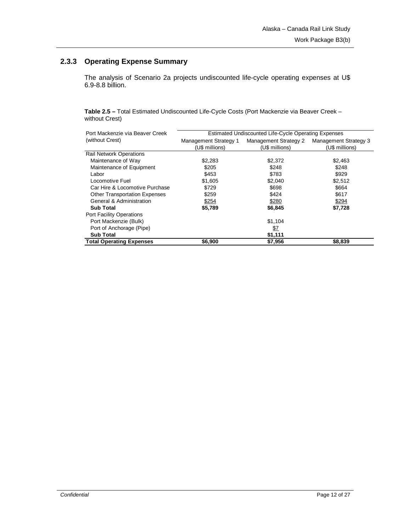# **2.3.3 Operating Expense Summary**

The analysis of Scenario 2a projects undiscounted life-cycle operating expenses at U\$ 6.9-8.8 billion.

**Table 2.5 –** Total Estimated Undiscounted Life-Cycle Costs (Port Mackenzie via Beaver Creek – without Crest)

| Port Mackenzie via Beaver Creek      | Estimated Undiscounted Life-Cycle Operating Expenses |                       |                              |  |
|--------------------------------------|------------------------------------------------------|-----------------------|------------------------------|--|
| (without Crest)                      | <b>Management Strategy 1</b>                         | Management Strategy 2 | <b>Management Strategy 3</b> |  |
|                                      | (U\$ millions)                                       | (U\$ millions)        | (U\$ millions)               |  |
| <b>Rail Network Operations</b>       |                                                      |                       |                              |  |
| Maintenance of Way                   | \$2,283                                              | \$2,372               | \$2,463                      |  |
| Maintenance of Equipment             | \$205                                                | \$248                 | \$248                        |  |
| Labor                                | \$453                                                | \$783                 | \$929                        |  |
| Locomotive Fuel                      | \$1,605                                              | \$2,040               | \$2,512                      |  |
| Car Hire & Locomotive Purchase       | \$729                                                | \$698                 | \$664                        |  |
| <b>Other Transportation Expenses</b> | \$259                                                | \$424                 | \$617                        |  |
| General & Administration             | \$254                                                | \$280                 | \$294                        |  |
| <b>Sub Total</b>                     | \$5,789                                              | \$6,845               | \$7,728                      |  |
| <b>Port Facility Operations</b>      |                                                      |                       |                              |  |
| Port Mackenzie (Bulk)                |                                                      | \$1,104               |                              |  |
| Port of Anchorage (Pipe)             |                                                      | <u>\$7</u>            |                              |  |
| <b>Sub Total</b>                     |                                                      | \$1,111               |                              |  |
| <b>Total Operating Expenses</b>      | \$6,900                                              | \$7,956               | \$8,839                      |  |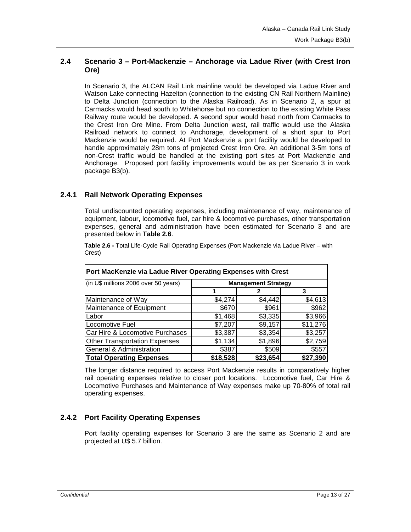## **2.4 Scenario 3 – Port-Mackenzie – Anchorage via Ladue River (with Crest Iron Ore)**

In Scenario 3, the ALCAN Rail Link mainline would be developed via Ladue River and Watson Lake connecting Hazelton (connection to the existing CN Rail Northern Mainline) to Delta Junction (connection to the Alaska Railroad). As in Scenario 2, a spur at Carmacks would head south to Whitehorse but no connection to the existing White Pass Railway route would be developed. A second spur would head north from Carmacks to the Crest Iron Ore Mine. From Delta Junction west, rail traffic would use the Alaska Railroad network to connect to Anchorage, development of a short spur to Port Mackenzie would be required. At Port Mackenzie a port facility would be developed to handle approximately 28m tons of projected Crest Iron Ore. An additional 3-5m tons of non-Crest traffic would be handled at the existing port sites at Port Mackenzie and Anchorage. Proposed port facility improvements would be as per Scenario 3 in work package B3(b).

## **2.4.1 Rail Network Operating Expenses**

Total undiscounted operating expenses, including maintenance of way, maintenance of equipment, labour, locomotive fuel, car hire & locomotive purchases, other transportation expenses, general and administration have been estimated for Scenario 3 and are presented below in **Table 2.6**.

**Table 2.6 -** Total Life-Cycle Rail Operating Expenses (Port Mackenzie via Ladue River – with Crest)

| Port MacKenzie via Ladue River Operating Expenses with Crest        |                            |         |          |  |  |
|---------------------------------------------------------------------|----------------------------|---------|----------|--|--|
| (in U\$ millions 2006 over 50 years)                                | <b>Management Strategy</b> |         |          |  |  |
|                                                                     |                            |         | 3        |  |  |
| Maintenance of Way                                                  | \$4,274                    | \$4,442 | \$4,613  |  |  |
| Maintenance of Equipment                                            | \$670                      | \$961   | \$962    |  |  |
| Labor                                                               | \$1,468                    | \$3,335 | \$3,966  |  |  |
| Locomotive Fuel                                                     | \$7,207                    | \$9,157 | \$11,276 |  |  |
| Car Hire & Locomotive Purchases                                     | \$3,387                    | \$3,354 | \$3,257  |  |  |
| <b>Other Transportation Expenses</b>                                | \$1,134                    | \$1,896 | \$2,759  |  |  |
| General & Administration                                            | \$387                      | \$509   | \$557    |  |  |
| \$18,528<br>\$23,654<br>\$27,390<br><b>Total Operating Expenses</b> |                            |         |          |  |  |

The longer distance required to access Port Mackenzie results in comparatively higher rail operating expenses relative to closer port locations. Locomotive fuel, Car Hire & Locomotive Purchases and Maintenance of Way expenses make up 70-80% of total rail operating expenses.

# **2.4.2 Port Facility Operating Expenses**

Port facility operating expenses for Scenario 3 are the same as Scenario 2 and are projected at U\$ 5.7 billion.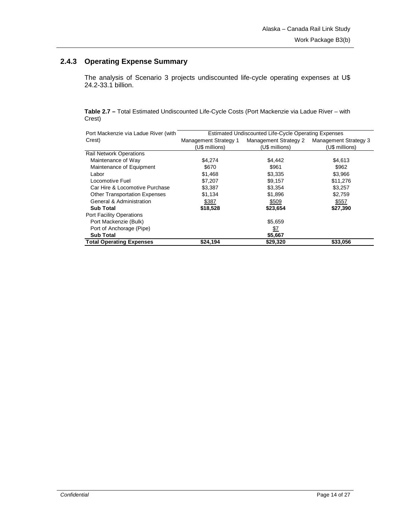# **2.4.3 Operating Expense Summary**

The analysis of Scenario 3 projects undiscounted life-cycle operating expenses at U\$ 24.2-33.1 billion.

**Table 2.7 –** Total Estimated Undiscounted Life-Cycle Costs (Port Mackenzie via Ladue River – with Crest)

| Port Mackenzie via Ladue River (with | Estimated Undiscounted Life-Cycle Operating Expenses |                       |                              |  |
|--------------------------------------|------------------------------------------------------|-----------------------|------------------------------|--|
| Crest)                               | Management Strategy 1                                | Management Strategy 2 | <b>Management Strategy 3</b> |  |
|                                      | (U\$ millions)                                       | (U\$ millions)        | (U\$ millions)               |  |
| <b>Rail Network Operations</b>       |                                                      |                       |                              |  |
| Maintenance of Way                   | \$4,274                                              | \$4,442               | \$4,613                      |  |
| Maintenance of Equipment             | \$670                                                | \$961                 | \$962                        |  |
| Labor                                | \$1,468                                              | \$3,335               | \$3.966                      |  |
| Locomotive Fuel                      | \$7.207                                              | \$9,157               | \$11,276                     |  |
| Car Hire & Locomotive Purchase       | \$3,387                                              | \$3,354               | \$3,257                      |  |
| <b>Other Transportation Expenses</b> | \$1,134                                              | \$1,896               | \$2,759                      |  |
| General & Administration             | \$387                                                | \$509                 | \$557                        |  |
| <b>Sub Total</b>                     | \$18,528                                             | \$23,654              | \$27,390                     |  |
| Port Facility Operations             |                                                      |                       |                              |  |
| Port Mackenzie (Bulk)                |                                                      | \$5,659               |                              |  |
| Port of Anchorage (Pipe)             |                                                      | \$7                   |                              |  |
| <b>Sub Total</b>                     |                                                      | \$5,667               |                              |  |
| <b>Total Operating Expenses</b>      | \$24,194                                             | \$29,320              | \$33,056                     |  |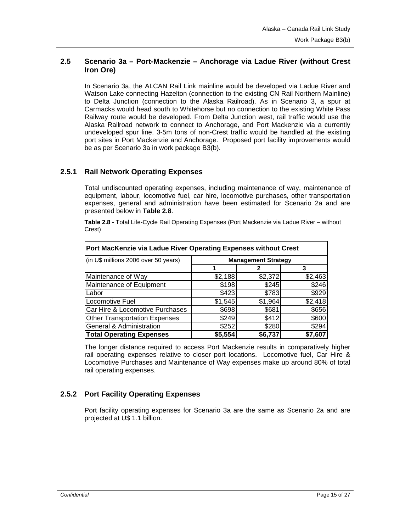## **2.5 Scenario 3a – Port-Mackenzie – Anchorage via Ladue River (without Crest Iron Ore)**

In Scenario 3a, the ALCAN Rail Link mainline would be developed via Ladue River and Watson Lake connecting Hazelton (connection to the existing CN Rail Northern Mainline) to Delta Junction (connection to the Alaska Railroad). As in Scenario 3, a spur at Carmacks would head south to Whitehorse but no connection to the existing White Pass Railway route would be developed. From Delta Junction west, rail traffic would use the Alaska Railroad network to connect to Anchorage, and Port Mackenzie via a currently undeveloped spur line. 3-5m tons of non-Crest traffic would be handled at the existing port sites in Port Mackenzie and Anchorage. Proposed port facility improvements would be as per Scenario 3a in work package B3(b).

#### **2.5.1 Rail Network Operating Expenses**

Total undiscounted operating expenses, including maintenance of way, maintenance of equipment, labour, locomotive fuel, car hire, locomotive purchases, other transportation expenses, general and administration have been estimated for Scenario 2a and are presented below in **Table 2.8**.

**Table 2.8 -** Total Life-Cycle Rail Operating Expenses (Port Mackenzie via Ladue River – without Crest)

| Port MacKenzie via Ladue River Operating Expenses without Crest |                            |         |         |  |  |
|-----------------------------------------------------------------|----------------------------|---------|---------|--|--|
| (in U\$ millions 2006 over 50 years)                            | <b>Management Strategy</b> |         |         |  |  |
|                                                                 |                            |         | 3       |  |  |
| Maintenance of Way                                              | \$2,188                    | \$2,372 | \$2,463 |  |  |
| Maintenance of Equipment                                        | \$198                      | \$245   | \$246   |  |  |
| Labor                                                           | \$423                      | \$783   | \$929   |  |  |
| Locomotive Fuel                                                 | \$1,545                    | \$1,964 | \$2,418 |  |  |
| Car Hire & Locomotive Purchases                                 | \$698                      | \$681   | \$656   |  |  |
| <b>Other Transportation Expenses</b>                            | \$249                      | \$412   | \$600   |  |  |
| General & Administration                                        | \$252                      | \$280   | \$294   |  |  |
| <b>Total Operating Expenses</b>                                 | \$5,554                    | \$6,737 | \$7,607 |  |  |

The longer distance required to access Port Mackenzie results in comparatively higher rail operating expenses relative to closer port locations. Locomotive fuel, Car Hire & Locomotive Purchases and Maintenance of Way expenses make up around 80% of total rail operating expenses.

## **2.5.2 Port Facility Operating Expenses**

Port facility operating expenses for Scenario 3a are the same as Scenario 2a and are projected at U\$ 1.1 billion.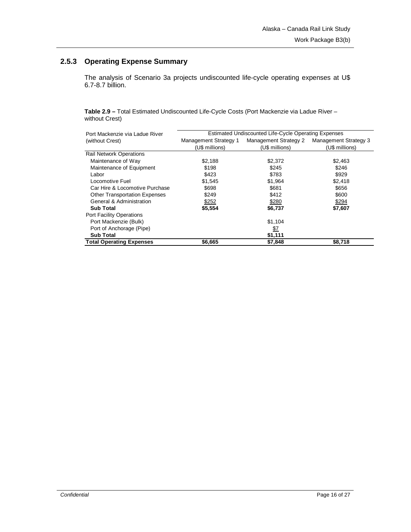# **2.5.3 Operating Expense Summary**

The analysis of Scenario 3a projects undiscounted life-cycle operating expenses at U\$ 6.7-8.7 billion.

**Table 2.9 –** Total Estimated Undiscounted Life-Cycle Costs (Port Mackenzie via Ladue River – without Crest)

| Port Mackenzie via Ladue River       | Estimated Undiscounted Life-Cycle Operating Expenses |                       |                       |  |
|--------------------------------------|------------------------------------------------------|-----------------------|-----------------------|--|
| (without Crest)                      | Management Strategy 1                                | Management Strategy 2 | Management Strategy 3 |  |
|                                      | (U\$ millions)                                       | (U\$ millions)        | (U\$ millions)        |  |
| <b>Rail Network Operations</b>       |                                                      |                       |                       |  |
| Maintenance of Way                   | \$2.188                                              | \$2,372               | \$2,463               |  |
| Maintenance of Equipment             | \$198                                                | \$245                 | \$246                 |  |
| Labor                                | \$423                                                | \$783                 | \$929                 |  |
| Locomotive Fuel                      | \$1,545                                              | \$1,964               | \$2,418               |  |
| Car Hire & Locomotive Purchase       | \$698                                                | \$681                 | \$656                 |  |
| <b>Other Transportation Expenses</b> | \$249                                                | \$412                 | \$600                 |  |
| General & Administration             | \$252                                                | \$280                 | \$294                 |  |
| <b>Sub Total</b>                     | \$5,554                                              | \$6,737               | \$7,607               |  |
| <b>Port Facility Operations</b>      |                                                      |                       |                       |  |
| Port Mackenzie (Bulk)                |                                                      | \$1,104               |                       |  |
| Port of Anchorage (Pipe)             |                                                      | <u>\$7</u>            |                       |  |
| <b>Sub Total</b>                     |                                                      | \$1,111               |                       |  |
| <b>Total Operating Expenses</b>      | \$6,665                                              | \$7,848               | \$8,718               |  |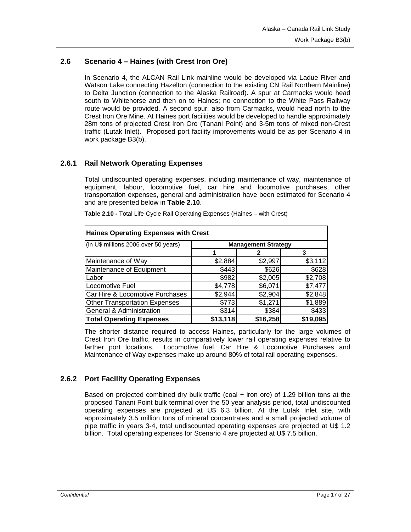## **2.6 Scenario 4 – Haines (with Crest Iron Ore)**

In Scenario 4, the ALCAN Rail Link mainline would be developed via Ladue River and Watson Lake connecting Hazelton (connection to the existing CN Rail Northern Mainline) to Delta Junction (connection to the Alaska Railroad). A spur at Carmacks would head south to Whitehorse and then on to Haines; no connection to the White Pass Railway route would be provided. A second spur, also from Carmacks, would head north to the Crest Iron Ore Mine. At Haines port facilities would be developed to handle approximately 28m tons of projected Crest Iron Ore (Tanani Point) and 3-5m tons of mixed non-Crest traffic (Lutak Inlet). Proposed port facility improvements would be as per Scenario 4 in work package B3(b).

## **2.6.1 Rail Network Operating Expenses**

Total undiscounted operating expenses, including maintenance of way, maintenance of equipment, labour, locomotive fuel, car hire and locomotive purchases, other transportation expenses, general and administration have been estimated for Scenario 4 and are presented below in **Table 2.10**.

| <b>Haines Operating Expenses with Crest</b> |                            |          |          |  |  |
|---------------------------------------------|----------------------------|----------|----------|--|--|
| (in U\$ millions 2006 over 50 years)        | <b>Management Strategy</b> |          |          |  |  |
|                                             |                            | 2        | 3        |  |  |
| Maintenance of Way                          | \$2,884                    | \$2,997  | \$3,112  |  |  |
| Maintenance of Equipment                    | \$443                      | \$626    | \$628    |  |  |
| Labor                                       | \$982                      | \$2,005  | \$2,708  |  |  |
| Locomotive Fuel                             | \$4,778                    | \$6,071  | \$7,477  |  |  |
| Car Hire & Locomotive Purchases             | \$2,944                    | \$2,904  | \$2,848  |  |  |
| <b>Other Transportation Expenses</b>        | \$773                      | \$1,271  | \$1,889  |  |  |
| General & Administration                    | \$314                      | \$384    | \$433    |  |  |
| <b>Total Operating Expenses</b>             | \$13,118                   | \$16,258 | \$19,095 |  |  |

**Table 2.10 -** Total Life-Cycle Rail Operating Expenses (Haines – with Crest)

The shorter distance required to access Haines, particularly for the large volumes of Crest Iron Ore traffic, results in comparatively lower rail operating expenses relative to farther port locations. Locomotive fuel, Car Hire & Locomotive Purchases and Maintenance of Way expenses make up around 80% of total rail operating expenses.

# **2.6.2 Port Facility Operating Expenses**

Based on projected combined dry bulk traffic (coal + iron ore) of 1.29 billion tons at the proposed Tanani Point bulk terminal over the 50 year analysis period, total undiscounted operating expenses are projected at U\$ 6.3 billion. At the Lutak Inlet site, with approximately 3.5 million tons of mineral concentrates and a small projected volume of pipe traffic in years 3-4, total undiscounted operating expenses are projected at U\$ 1.2 billion. Total operating expenses for Scenario 4 are projected at U\$ 7.5 billion.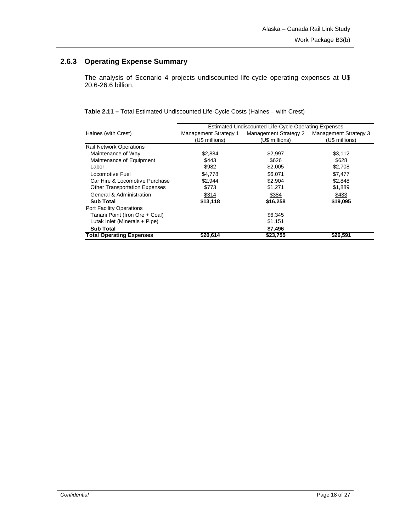# **2.6.3 Operating Expense Summary**

The analysis of Scenario 4 projects undiscounted life-cycle operating expenses at U\$ 20.6-26.6 billion.

**Table 2.11 –** Total Estimated Undiscounted Life-Cycle Costs (Haines – with Crest)

|                                      | Estimated Undiscounted Life-Cycle Operating Expenses |                       |                       |  |  |
|--------------------------------------|------------------------------------------------------|-----------------------|-----------------------|--|--|
| Haines (with Crest)                  | Management Strategy 1                                | Management Strategy 2 | Management Strategy 3 |  |  |
|                                      | (U\$ millions)                                       | (U\$ millions)        | (U\$ millions)        |  |  |
| <b>Rail Network Operations</b>       |                                                      |                       |                       |  |  |
| Maintenance of Way                   | \$2,884                                              | \$2,997               | \$3,112               |  |  |
| Maintenance of Equipment             | \$443                                                | \$626                 | \$628                 |  |  |
| Labor                                | \$982                                                | \$2,005               | \$2,708               |  |  |
| Locomotive Fuel                      | \$4,778                                              | \$6,071               | \$7,477               |  |  |
| Car Hire & Locomotive Purchase       | \$2,944                                              | \$2,904               | \$2,848               |  |  |
| <b>Other Transportation Expenses</b> | \$773                                                | \$1,271               | \$1,889               |  |  |
| General & Administration             | \$314                                                | \$384                 | \$433                 |  |  |
| <b>Sub Total</b>                     | \$13,118                                             | \$16,258              | \$19,095              |  |  |
| Port Facility Operations             |                                                      |                       |                       |  |  |
| Tanani Point (Iron Ore + Coal)       |                                                      | \$6,345               |                       |  |  |
| Lutak Inlet (Minerals + Pipe)        |                                                      | \$1,151               |                       |  |  |
| <b>Sub Total</b>                     |                                                      | \$7,496               |                       |  |  |
| <b>Total Operating Expenses</b>      | \$20,614                                             | \$23,755              | \$26,591              |  |  |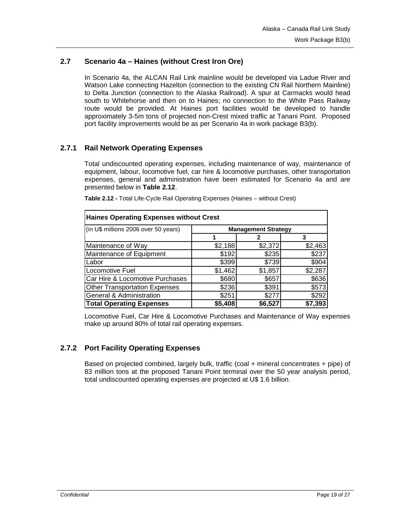## **2.7 Scenario 4a – Haines (without Crest Iron Ore)**

In Scenario 4a, the ALCAN Rail Link mainline would be developed via Ladue River and Watson Lake connecting Hazelton (connection to the existing CN Rail Northern Mainline) to Delta Junction (connection to the Alaska Railroad). A spur at Carmacks would head south to Whitehorse and then on to Haines; no connection to the White Pass Railway route would be provided. At Haines port facilities would be developed to handle approximately 3-5m tons of projected non-Crest mixed traffic at Tanani Point. Proposed port facility improvements would be as per Scenario 4a in work package B3(b).

## **2.7.1 Rail Network Operating Expenses**

Total undiscounted operating expenses, including maintenance of way, maintenance of equipment, labour, locomotive fuel, car hire & locomotive purchases, other transportation expenses, general and administration have been estimated for Scenario 4a and are presented below in **Table 2.12**.

| <b>Haines Operating Expenses without Crest</b> |                            |         |         |  |  |
|------------------------------------------------|----------------------------|---------|---------|--|--|
| (in U\$ millions 2006 over 50 years)           | <b>Management Strategy</b> |         |         |  |  |
|                                                |                            |         | 3       |  |  |
| Maintenance of Way                             | \$2,188                    | \$2,372 | \$2,463 |  |  |
| Maintenance of Equipment                       | \$192                      | \$235   | \$237   |  |  |
| Labor                                          | \$399                      | \$739   | \$904   |  |  |
| Locomotive Fuel                                | \$1,462                    | \$1,857 | \$2,287 |  |  |
| Car Hire & Locomotive Purchases                | \$680                      | \$657   | \$636   |  |  |
| <b>Other Transportation Expenses</b>           | \$236                      | \$391   | \$573   |  |  |
| General & Administration                       | \$251                      | \$277   | \$292   |  |  |
| <b>Total Operating Expenses</b>                | \$5,408                    | \$6,527 | \$7,393 |  |  |

**Table 2.12 -** Total Life-Cycle Rail Operating Expenses (Haines – without Crest)

Locomotive Fuel, Car Hire & Locomotive Purchases and Maintenance of Way expenses make up around 80% of total rail operating expenses.

#### **2.7.2 Port Facility Operating Expenses**

Based on projected combined, largely bulk, traffic (coal + mineral concentrates + pipe) of 83 million tons at the proposed Tanani Point terminal over the 50 year analysis period, total undiscounted operating expenses are projected at U\$ 1.6 billion.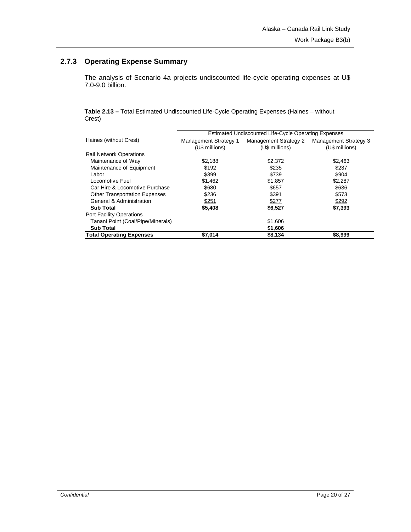# **2.7.3 Operating Expense Summary**

The analysis of Scenario 4a projects undiscounted life-cycle operating expenses at U\$ 7.0-9.0 billion.

**Table 2.13 –** Total Estimated Undiscounted Life-Cycle Operating Expenses (Haines – without Crest)

|                                      | Estimated Undiscounted Life-Cycle Operating Expenses |                       |                              |  |  |
|--------------------------------------|------------------------------------------------------|-----------------------|------------------------------|--|--|
| Haines (without Crest)               | Management Strategy 1                                | Management Strategy 2 | <b>Management Strategy 3</b> |  |  |
|                                      | (U\$ millions)                                       | (U\$ millions)        | (U\$ millions)               |  |  |
| <b>Rail Network Operations</b>       |                                                      |                       |                              |  |  |
| Maintenance of Way                   | \$2,188                                              | \$2,372               | \$2,463                      |  |  |
| Maintenance of Equipment             | \$192                                                | \$235                 | \$237                        |  |  |
| Labor                                | \$399                                                | \$739                 | \$904                        |  |  |
| Locomotive Fuel                      | \$1,462                                              | \$1,857               | \$2,287                      |  |  |
| Car Hire & Locomotive Purchase       | \$680                                                | \$657                 | \$636                        |  |  |
| <b>Other Transportation Expenses</b> | \$236                                                | \$391                 | \$573                        |  |  |
| General & Administration             | \$251                                                | \$277                 | \$292                        |  |  |
| <b>Sub Total</b>                     | \$5,408                                              | \$6,527               | \$7,393                      |  |  |
| <b>Port Facility Operations</b>      |                                                      |                       |                              |  |  |
| Tanani Point (Coal/Pipe/Minerals)    |                                                      | \$1,606               |                              |  |  |
| <b>Sub Total</b>                     |                                                      | \$1,606               |                              |  |  |
| <b>Total Operating Expenses</b>      | \$7,014                                              | \$8,134               | \$8,999                      |  |  |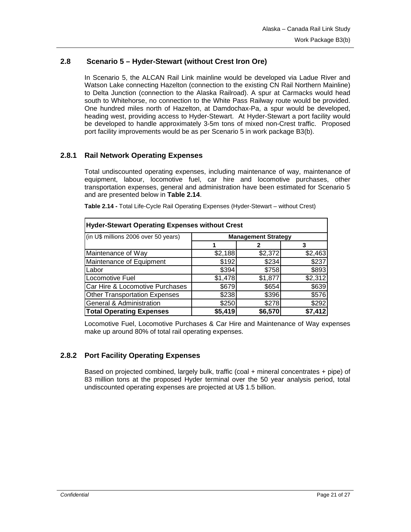## **2.8 Scenario 5 – Hyder-Stewart (without Crest Iron Ore)**

In Scenario 5, the ALCAN Rail Link mainline would be developed via Ladue River and Watson Lake connecting Hazelton (connection to the existing CN Rail Northern Mainline) to Delta Junction (connection to the Alaska Railroad). A spur at Carmacks would head south to Whitehorse, no connection to the White Pass Railway route would be provided. One hundred miles north of Hazelton, at Damdochax-Pa, a spur would be developed, heading west, providing access to Hyder-Stewart. At Hyder-Stewart a port facility would be developed to handle approximately 3-5m tons of mixed non-Crest traffic. Proposed port facility improvements would be as per Scenario 5 in work package B3(b).

## **2.8.1 Rail Network Operating Expenses**

Total undiscounted operating expenses, including maintenance of way, maintenance of equipment, labour, locomotive fuel, car hire and locomotive purchases, other transportation expenses, general and administration have been estimated for Scenario 5 and are presented below in **Table 2.14**.

| <b>Hyder-Stewart Operating Expenses without Crest</b> |                            |         |         |  |  |
|-------------------------------------------------------|----------------------------|---------|---------|--|--|
| (in U\$ millions 2006 over 50 years)                  | <b>Management Strategy</b> |         |         |  |  |
|                                                       |                            |         | 3       |  |  |
| Maintenance of Way                                    | \$2,188                    | \$2,372 | \$2,463 |  |  |
| Maintenance of Equipment                              | \$192                      | \$234   | \$237   |  |  |
| Labor                                                 | \$394                      | \$758   | \$893   |  |  |
| Locomotive Fuel                                       | \$1,478                    | \$1,877 | \$2,312 |  |  |
| Car Hire & Locomotive Purchases                       | \$679                      | \$654   | \$639   |  |  |
| <b>Other Transportation Expenses</b>                  | \$238                      | \$396   | \$576   |  |  |
| General & Administration                              | \$292<br>\$278<br>\$250    |         |         |  |  |
| <b>Total Operating Expenses</b>                       | \$5.419                    | \$6,570 | \$7.412 |  |  |

**Table 2.14 -** Total Life-Cycle Rail Operating Expenses (Hyder-Stewart – without Crest)

Locomotive Fuel, Locomotive Purchases & Car Hire and Maintenance of Way expenses make up around 80% of total rail operating expenses.

#### **2.8.2 Port Facility Operating Expenses**

Based on projected combined, largely bulk, traffic (coal + mineral concentrates + pipe) of 83 million tons at the proposed Hyder terminal over the 50 year analysis period, total undiscounted operating expenses are projected at U\$ 1.5 billion.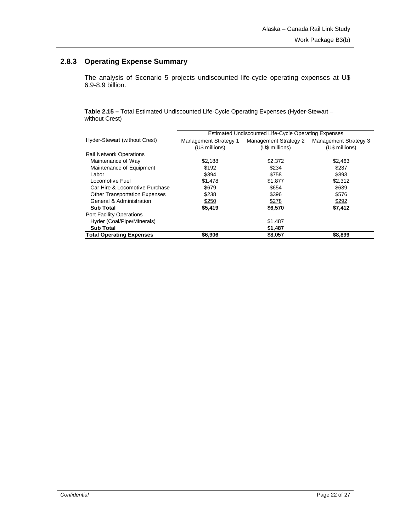# **2.8.3 Operating Expense Summary**

The analysis of Scenario 5 projects undiscounted life-cycle operating expenses at U\$ 6.9-8.9 billion.

**Table 2.15 –** Total Estimated Undiscounted Life-Cycle Operating Expenses (Hyder-Stewart – without Crest)

|                                      | Estimated Undiscounted Life-Cycle Operating Expenses |                       |                              |  |  |
|--------------------------------------|------------------------------------------------------|-----------------------|------------------------------|--|--|
| Hyder-Stewart (without Crest)        | Management Strategy 1                                | Management Strategy 2 | <b>Management Strategy 3</b> |  |  |
|                                      | (U\$ millions)                                       | (U\$ millions)        | (U\$ millions)               |  |  |
| <b>Rail Network Operations</b>       |                                                      |                       |                              |  |  |
| Maintenance of Way                   | \$2,188                                              | \$2,372               | \$2,463                      |  |  |
| Maintenance of Equipment             | \$192                                                | \$234                 | \$237                        |  |  |
| Labor                                | \$394                                                | \$758                 | \$893                        |  |  |
| Locomotive Fuel                      | \$1,478                                              | \$1,877               | \$2,312                      |  |  |
| Car Hire & Locomotive Purchase       | \$679                                                | \$654                 | \$639                        |  |  |
| <b>Other Transportation Expenses</b> | \$238                                                | \$396                 | \$576                        |  |  |
| General & Administration             | \$250                                                | \$278                 | \$292                        |  |  |
| <b>Sub Total</b>                     | \$5,419                                              | \$6,570               | \$7,412                      |  |  |
| <b>Port Facility Operations</b>      |                                                      |                       |                              |  |  |
| Hyder (Coal/Pipe/Minerals)           |                                                      | \$1,487               |                              |  |  |
| <b>Sub Total</b>                     |                                                      | \$1,487               |                              |  |  |
| <b>Total Operating Expenses</b>      | \$6,906                                              | \$8,057               | \$8,899                      |  |  |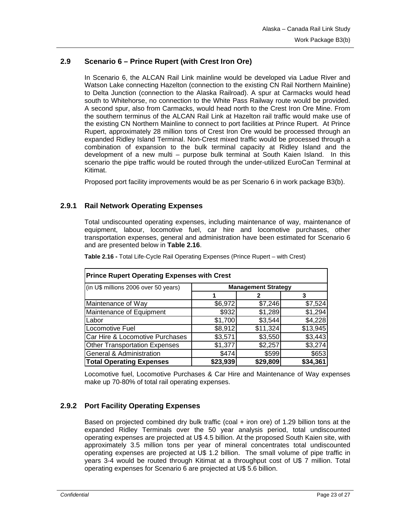## **2.9 Scenario 6 – Prince Rupert (with Crest Iron Ore)**

In Scenario 6, the ALCAN Rail Link mainline would be developed via Ladue River and Watson Lake connecting Hazelton (connection to the existing CN Rail Northern Mainline) to Delta Junction (connection to the Alaska Railroad). A spur at Carmacks would head south to Whitehorse, no connection to the White Pass Railway route would be provided. A second spur, also from Carmacks, would head north to the Crest Iron Ore Mine. From the southern terminus of the ALCAN Rail Link at Hazelton rail traffic would make use of the existing CN Northern Mainline to connect to port facilities at Prince Rupert. At Prince Rupert, approximately 28 million tons of Crest Iron Ore would be processed through an expanded Ridley Island Terminal. Non-Crest mixed traffic would be processed through a combination of expansion to the bulk terminal capacity at Ridley Island and the development of a new multi – purpose bulk terminal at South Kaien Island. In this scenario the pipe traffic would be routed through the under-utilized EuroCan Terminal at Kitimat.

Proposed port facility improvements would be as per Scenario 6 in work package B3(b).

#### **2.9.1 Rail Network Operating Expenses**

Total undiscounted operating expenses, including maintenance of way, maintenance of equipment, labour, locomotive fuel, car hire and locomotive purchases, other transportation expenses, general and administration have been estimated for Scenario 6 and are presented below in **Table 2.16**.

| <b>Prince Rupert Operating Expenses with Crest</b> |                            |          |          |  |  |
|----------------------------------------------------|----------------------------|----------|----------|--|--|
| (in U\$ millions 2006 over 50 years)               | <b>Management Strategy</b> |          |          |  |  |
|                                                    |                            |          | 3        |  |  |
| Maintenance of Way                                 | \$6,972                    | \$7,246  | \$7,524  |  |  |
| Maintenance of Equipment                           | \$932                      | \$1,289  | \$1,294  |  |  |
| Labor                                              | \$1,700                    | \$3,544  | \$4,228  |  |  |
| Locomotive Fuel                                    | \$8,912                    | \$11,324 | \$13,945 |  |  |
| Car Hire & Locomotive Purchases                    | \$3,571                    | \$3,550  | \$3,443  |  |  |
| <b>Other Transportation Expenses</b>               | \$1,377                    | \$2,257  | \$3,274  |  |  |
| <b>General &amp; Administration</b>                | \$474                      | \$599    | \$653    |  |  |
| <b>Total Operating Expenses</b>                    | \$23,939                   | \$29,809 | \$34,361 |  |  |

**Table 2.16 -** Total Life-Cycle Rail Operating Expenses (Prince Rupert – with Crest)

Locomotive fuel, Locomotive Purchases & Car Hire and Maintenance of Way expenses make up 70-80% of total rail operating expenses.

## **2.9.2 Port Facility Operating Expenses**

Based on projected combined dry bulk traffic (coal + iron ore) of 1.29 billion tons at the expanded Ridley Terminals over the 50 year analysis period, total undiscounted operating expenses are projected at U\$ 4.5 billion. At the proposed South Kaien site, with approximately 3.5 million tons per year of mineral concentrates total undiscounted operating expenses are projected at U\$ 1.2 billion. The small volume of pipe traffic in years 3-4 would be routed through Kitimat at a throughput cost of U\$ 7 million. Total operating expenses for Scenario 6 are projected at U\$ 5.6 billion.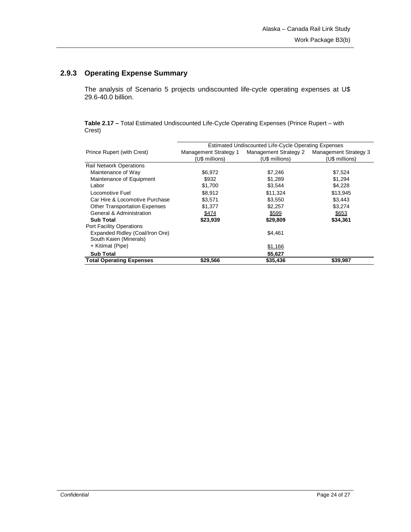# **2.9.3 Operating Expense Summary**

The analysis of Scenario 5 projects undiscounted life-cycle operating expenses at U\$ 29.6-40.0 billion.

**Table 2.17 –** Total Estimated Undiscounted Life-Cycle Operating Expenses (Prince Rupert – with Crest)

|                                      | Estimated Undiscounted Life-Cycle Operating Expenses |                       |                       |  |  |
|--------------------------------------|------------------------------------------------------|-----------------------|-----------------------|--|--|
| Prince Rupert (with Crest)           | Management Strategy 1                                | Management Strategy 2 | Management Strategy 3 |  |  |
|                                      | (U\$ millions)                                       | (U\$ millions)        | (U\$ millions)        |  |  |
| <b>Rail Network Operations</b>       |                                                      |                       |                       |  |  |
| Maintenance of Way                   | \$6,972                                              | \$7,246               | \$7,524               |  |  |
| Maintenance of Equipment             | \$932                                                | \$1,289               | \$1,294               |  |  |
| Labor                                | \$1,700                                              | \$3,544               | \$4,228               |  |  |
| Locomotive Fuel                      | \$8,912                                              | \$11,324              | \$13,945              |  |  |
| Car Hire & Locomotive Purchase       | \$3.571                                              | \$3.550               | \$3.443               |  |  |
| <b>Other Transportation Expenses</b> | \$1,377                                              | \$2,257               | \$3.274               |  |  |
| General & Administration             | \$474                                                | \$599                 | \$653                 |  |  |
| <b>Sub Total</b>                     | \$23,939                                             | \$29,809              | \$34,361              |  |  |
| <b>Port Facility Operations</b>      |                                                      |                       |                       |  |  |
| Expanded Ridley (Coal/Iron Ore)      |                                                      | \$4.461               |                       |  |  |
| South Kaien (Minerals)               |                                                      |                       |                       |  |  |
| + Kitimat (Pipe)                     |                                                      | \$1,166               |                       |  |  |
| <b>Sub Total</b>                     |                                                      | \$5,627               |                       |  |  |
| <b>Total Operating Expenses</b>      | \$29,566                                             | \$35,436              | \$39,987              |  |  |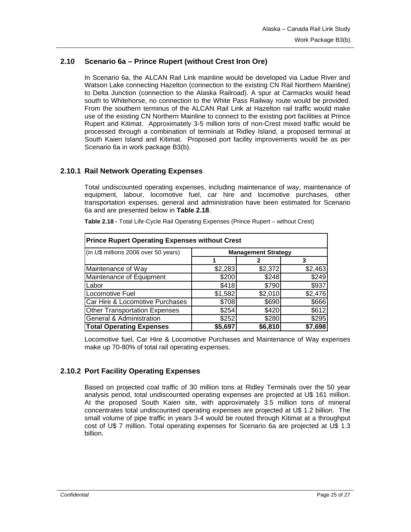## **2.10 Scenario 6a – Prince Rupert (without Crest Iron Ore)**

In Scenario 6a, the ALCAN Rail Link mainline would be developed via Ladue River and Watson Lake connecting Hazelton (connection to the existing CN Rail Northern Mainline) to Delta Junction (connection to the Alaska Railroad). A spur at Carmacks would head south to Whitehorse, no connection to the White Pass Railway route would be provided. From the southern terminus of the ALCAN Rail Link at Hazelton rail traffic would make use of the existing CN Northern Mainline to connect to the existing port facilities at Prince Rupert and Kitimat. Approximately 3-5 million tons of non-Crest mixed traffic would be processed through a combination of terminals at Ridley Island, a proposed terminal at South Kaien Island and Kitimat. Proposed port facility improvements would be as per Scenario 6a in work package B3(b).

## **2.10.1 Rail Network Operating Expenses**

Total undiscounted operating expenses, including maintenance of way, maintenance of equipment, labour, locomotive fuel, car hire and locomotive purchases, other transportation expenses, general and administration have been estimated for Scenario 6a and are presented below in **Table 2.18**.

| Table 2.18 - Total Life-Cycle Rail Operating Expenses (Prince Rupert - without Crest) |  |  |  |
|---------------------------------------------------------------------------------------|--|--|--|
|                                                                                       |  |  |  |

| <b>Prince Rupert Operating Expenses without Crest</b> |                            |         |         |  |  |
|-------------------------------------------------------|----------------------------|---------|---------|--|--|
| (in U\$ millions 2006 over 50 years)                  | <b>Management Strategy</b> |         |         |  |  |
|                                                       |                            |         | 3       |  |  |
| Maintenance of Way                                    | \$2,283                    | \$2,372 | \$2,463 |  |  |
| Maintenance of Equipment                              | \$200                      | \$248   | \$249   |  |  |
| Labor                                                 | \$418                      | \$790   | \$937   |  |  |
| Locomotive Fuel                                       | \$1,582                    | \$2,010 | \$2,476 |  |  |
| Car Hire & Locomotive Purchases                       | \$708                      | \$690   | \$666   |  |  |
| <b>Other Transportation Expenses</b>                  | \$254                      | \$420   | \$612]  |  |  |
| <b>General &amp; Administration</b>                   | \$295<br>\$280<br>\$252    |         |         |  |  |
| <b>Total Operating Expenses</b>                       | \$5,697                    | \$6,810 | \$7,698 |  |  |

Locomotive fuel, Car Hire & Locomotive Purchases and Maintenance of Way expenses make up 70-80% of total rail operating expenses.

## **2.10.2 Port Facility Operating Expenses**

Based on projected coal traffic of 30 million tons at Ridley Terminals over the 50 year analysis period, total undiscounted operating expenses are projected at U\$ 161 million. At the proposed South Kaien site, with approximately 3.5 million tons of mineral concentrates total undiscounted operating expenses are projected at U\$ 1.2 billion. The small volume of pipe traffic in years 3-4 would be routed through Kitimat at a throughput cost of U\$ 7 million. Total operating expenses for Scenario 6a are projected at U\$ 1.3 billion.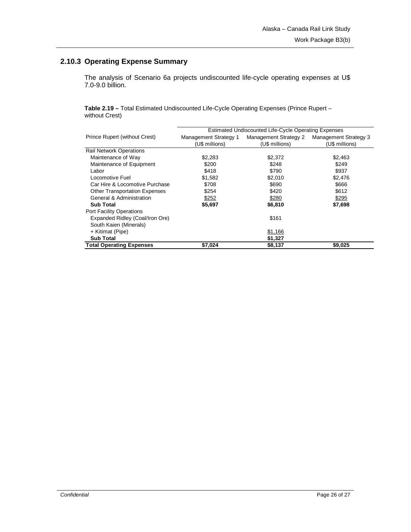# **2.10.3 Operating Expense Summary**

The analysis of Scenario 6a projects undiscounted life-cycle operating expenses at U\$ 7.0-9.0 billion.

**Table 2.19 –** Total Estimated Undiscounted Life-Cycle Operating Expenses (Prince Rupert – without Crest)

|                                      | Estimated Undiscounted Life-Cycle Operating Expenses |                       |                       |  |  |  |
|--------------------------------------|------------------------------------------------------|-----------------------|-----------------------|--|--|--|
| Prince Rupert (without Crest)        | Management Strategy 1                                | Management Strategy 2 | Management Strategy 3 |  |  |  |
|                                      | (U\$ millions)                                       | (U\$ millions)        | (U\$ millions)        |  |  |  |
| <b>Rail Network Operations</b>       |                                                      |                       |                       |  |  |  |
| Maintenance of Way                   | \$2,283                                              | \$2,372               | \$2,463               |  |  |  |
| Maintenance of Equipment             | \$200                                                | \$248                 | \$249                 |  |  |  |
| Labor                                | \$418                                                | \$790                 | \$937                 |  |  |  |
| Locomotive Fuel                      | \$1,582                                              | \$2,010               | \$2,476               |  |  |  |
| Car Hire & Locomotive Purchase       | \$708                                                | \$690                 | \$666                 |  |  |  |
| <b>Other Transportation Expenses</b> | \$254                                                | \$420                 | \$612                 |  |  |  |
| General & Administration             | \$252                                                | \$280                 | \$295                 |  |  |  |
| <b>Sub Total</b>                     | \$5,697                                              | \$6,810               | \$7,698               |  |  |  |
| Port Facility Operations             |                                                      |                       |                       |  |  |  |
| Expanded Ridley (Coal/Iron Ore)      |                                                      | \$161                 |                       |  |  |  |
| South Kaien (Minerals)               |                                                      |                       |                       |  |  |  |
| + Kitimat (Pipe)                     |                                                      | \$1,166               |                       |  |  |  |
| <b>Sub Total</b>                     |                                                      | \$1,327               |                       |  |  |  |
| <b>Total Operating Expenses</b>      | \$7,024                                              | \$8,137               | \$9,025               |  |  |  |